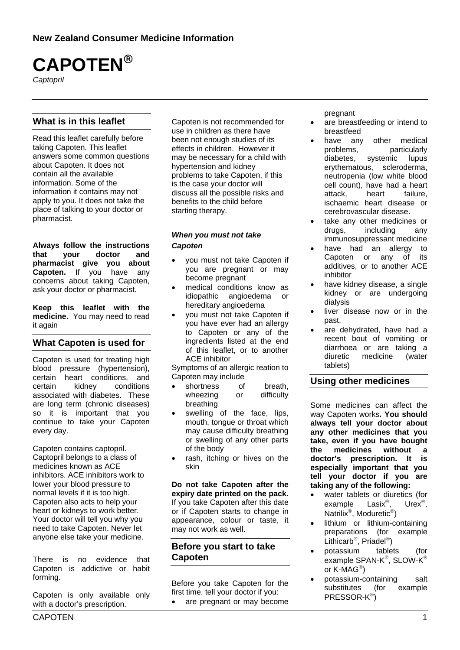# **CAPOTEN**®

*Captopril* 

## **What is in this leaflet**

Read this leaflet carefully before taking Capoten. This leaflet answers some common questions about Capoten. It does not contain all the available information. Some of the information it contains may not apply to you. It does not take the place of talking to your doctor or pharmacist.

**Always follow the instructions that your doctor and pharmacist give you about Capoten.** If you have any concerns about taking Capoten, ask your doctor or pharmacist.

**Keep this leaflet with the medicine.** You may need to read it again

## **What Capoten is used for**

Capoten is used for treating high blood pressure (hypertension), certain heart conditions, and<br>certain kidney conditions certain kidney conditions associated with diabetes. These are long term (chronic diseases) so it is important that you continue to take your Capoten every day.

Capoten contains captopril. Captopril belongs to a class of medicines known as ACE inhibitors. ACE inhibitors work to lower your blood pressure to normal levels if it is too high. Capoten also acts to help your heart or kidneys to work better. Your doctor will tell you why you need to take Capoten. Never let anyone else take your medicine.

There is no evidence that Capoten is addictive or habit forming.

Capoten is only available only with a doctor's prescription.

Capoten is not recommended for use in children as there have been not enough studies of its effects in children. However it may be necessary for a child with hypertension and kidney problems to take Capoten, if this is the case your doctor will discuss all the possible risks and benefits to the child before starting therapy.

#### *When you must not take Capoten*

- you must not take Capoten if you are pregnant or may become pregnant
- medical conditions know as idiopathic angioedema or hereditary angioedema
- you must not take Capoten if you have ever had an allergy to Capoten or any of the ingredients listed at the end of this leaflet, or to another ACE inhibitor

Symptoms of an allergic reation to Capoten may include

- shortness of breath, wheezing or difficulty breathing
- swelling of the face, lips, mouth, tongue or throat which may cause difficulty breathing or swelling of any other parts of the body
- rash, itching or hives on the skin

**Do not take Capoten after the expiry date printed on the pack.**  If you take Capoten after this date or if Capoten starts to change in appearance, colour or taste, it may not work as well.

## **Before you start to take Capoten**

Before you take Capoten for the first time, tell your doctor if you:

• are pregnant or may become

pregnant

- are breastfeeding or intend to breastfeed
- have any other medical problems, particularly diabetes, systemic lupus erythematous, scleroderma, neutropenia (low white blood cell count), have had a heart attack, heart failure, ischaemic heart disease or cerebrovascular disease.
- take any other medicines or drugs, including any immunosuppressant medicine
- have had an allergy to Capoten or any of its additives, or to another ACE inhibitor
- have kidney disease, a single kidney or are undergoing dialysis
- liver disease now or in the past.
- are dehydrated, have had a recent bout of vomiting or diarrhoea or are taking a diuretic medicine (water tablets)

## **Using other medicines**

Some medicines can affect the way Capoten works**. You should always tell your doctor about any other medicines that you take, even if you have bought the medicines without a doctor's prescription. It is especially important that you tell your doctor if you are taking any of the following:** 

- water tablets or diuretics (for example Lasix®, Urex®, Natrilix®, Moduretic®)
- lithium or lithium-containing preparations (for example Lithicarb®, Priadel®)
- potassium tablets (for example SPAN-K®, SLOW-K® or K-MAG®)
- potassium-containing salt substitutes (for example PRESSOR-K®)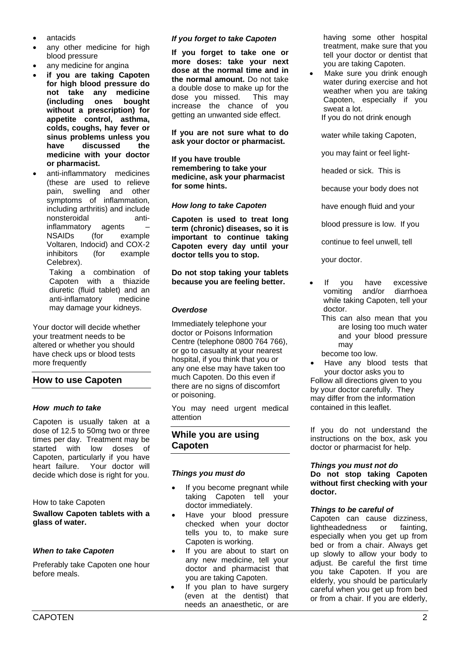- antacids
- any other medicine for high blood pressure
- any medicine for angina
- **if you are taking Capoten for high blood pressure do not take any medicine (including ones bought without a prescription) for appetite control, asthma, colds, coughs, hay fever or sinus problems unless you have discussed the medicine with your doctor or pharmacist.**
- anti-inflammatory medicines (these are used to relieve pain, swelling and other symptoms of inflammation, including arthritis) and include nonsteroidal antiinflammatory agents – NSAIDs (for example Voltaren, Indocid) and COX-2 inhibitors (for example Celebrex).

Taking a combination of Capoten with a thiazide diuretic (fluid tablet) and an anti-inflamatory medicine may damage your kidneys.

Your doctor will decide whether your treatment needs to be altered or whether you should have check ups or blood tests more frequently

## **How to use Capoten**

#### *How much to take*

Capoten is usually taken at a dose of 12.5 to 50mg two or three times per day. Treatment may be started with low doses of Capoten, particularly if you have heart failure. Your doctor will decide which dose is right for you.

#### How to take Capoten

**Swallow Capoten tablets with a glass of water.** 

#### *When to take Capoten*

Preferably take Capoten one hour before meals.

#### *If you forget to take Capoten*

**If you forget to take one or more doses: take your next dose at the normal time and in the normal amount.** Do not take a double dose to make up for the dose you missed. This may increase the chance of you getting an unwanted side effect.

#### **If you are not sure what to do ask your doctor or pharmacist.**

**If you have trouble remembering to take your medicine, ask your pharmacist for some hints.** 

#### *How long to take Capoten*

**Capoten is used to treat long term (chronic) diseases, so it is important to continue taking Capoten every day until your doctor tells you to stop.** 

#### **Do not stop taking your tablets because you are feeling better.**

#### *Overdose*

Immediately telephone your doctor or Poisons Information Centre (telephone 0800 764 766), or go to casualty at your nearest hospital, if you think that you or any one else may have taken too much Capoten. Do this even if there are no signs of discomfort or poisoning.

You may need urgent medical attention

## **While you are using Capoten**

#### *Things you must do*

- If you become pregnant while taking Capoten tell your doctor immediately.
- Have your blood pressure checked when your doctor tells you to, to make sure Capoten is working.
- If you are about to start on any new medicine, tell your doctor and pharmacist that you are taking Capoten.
- If you plan to have surgery (even at the dentist) that needs an anaesthetic, or are

having some other hospital treatment, make sure that you tell your doctor or dentist that you are taking Capoten.

Make sure you drink enough water during exercise and hot weather when you are taking Capoten, especially if you sweat a lot.

If you do not drink enough

water while taking Capoten,

you may faint or feel light-

headed or sick. This is

because your body does not

have enough fluid and your

blood pressure is low. If you

continue to feel unwell, tell

your doctor.

- If you have excessive vomiting and/or diarrhoea while taking Capoten, tell your doctor.
	- This can also mean that you are losing too much water and your blood pressure may

become too low.

• Have any blood tests that your doctor asks you to Follow all directions given to you

by your doctor carefully. They may differ from the information contained in this leaflet.

If you do not understand the instructions on the box, ask you doctor or pharmacist for help.

#### *Things you must not do*

**Do not stop taking Capoten without first checking with your doctor.** 

#### *Things to be careful of*

Capoten can cause dizziness, lightheadedness or fainting, especially when you get up from bed or from a chair. Always get up slowly to allow your body to adjust. Be careful the first time you take Capoten. If you are elderly, you should be particularly careful when you get up from bed or from a chair. If you are elderly,